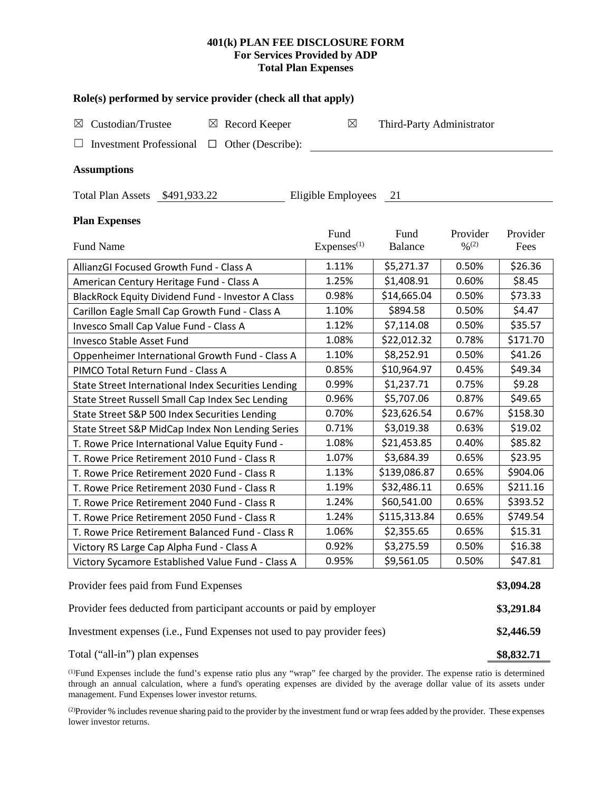## **401(k) PLAN FEE DISCLOSURE FORM For Services Provided by ADP Total Plan Expenses**

| Role(s) performed by service provider (check all that apply)            |                        |                           |                              |            |  |  |
|-------------------------------------------------------------------------|------------------------|---------------------------|------------------------------|------------|--|--|
| Custodian/Trustee<br>$\boxtimes$ Record Keeper<br>$\boxtimes$           | $\boxtimes$            | Third-Party Administrator |                              |            |  |  |
| <b>Investment Professional</b><br>Other (Describe):<br>$\Box$           |                        |                           |                              |            |  |  |
| <b>Assumptions</b>                                                      |                        |                           |                              |            |  |  |
| Total Plan Assets \$491,933.22                                          | Eligible Employees 21  |                           |                              |            |  |  |
| <b>Plan Expenses</b>                                                    |                        |                           |                              |            |  |  |
|                                                                         | Fund                   | Fund                      | Provider                     | Provider   |  |  |
| <b>Fund Name</b>                                                        | Express <sup>(1)</sup> | Balance                   | $\frac{0}{2}$ <sup>(2)</sup> | Fees       |  |  |
| AllianzGI Focused Growth Fund - Class A                                 | 1.11%                  | \$5,271.37                | 0.50%                        | \$26.36    |  |  |
| American Century Heritage Fund - Class A                                | 1.25%                  | \$1,408.91                | 0.60%                        | \$8.45     |  |  |
| BlackRock Equity Dividend Fund - Investor A Class                       | 0.98%                  | \$14,665.04               | 0.50%                        | \$73.33    |  |  |
| Carillon Eagle Small Cap Growth Fund - Class A                          | 1.10%                  | \$894.58                  | 0.50%                        | \$4.47     |  |  |
| Invesco Small Cap Value Fund - Class A                                  | 1.12%                  | \$7,114.08                | 0.50%                        | \$35.57    |  |  |
| Invesco Stable Asset Fund                                               | 1.08%                  | \$22,012.32               | 0.78%                        | \$171.70   |  |  |
| Oppenheimer International Growth Fund - Class A                         | 1.10%                  | \$8,252.91                | 0.50%                        | \$41.26    |  |  |
| PIMCO Total Return Fund - Class A                                       | 0.85%                  | \$10,964.97               | 0.45%                        | \$49.34    |  |  |
| State Street International Index Securities Lending                     | 0.99%                  | \$1,237.71                | 0.75%                        | \$9.28     |  |  |
| State Street Russell Small Cap Index Sec Lending                        | 0.96%                  | \$5,707.06                | 0.87%                        | \$49.65    |  |  |
| State Street S&P 500 Index Securities Lending                           | 0.70%                  | \$23,626.54               | 0.67%                        | \$158.30   |  |  |
| State Street S&P MidCap Index Non Lending Series                        | 0.71%                  | \$3,019.38                | 0.63%                        | \$19.02    |  |  |
| T. Rowe Price International Value Equity Fund -                         | 1.08%                  | \$21,453.85               | 0.40%                        | \$85.82    |  |  |
| T. Rowe Price Retirement 2010 Fund - Class R                            | 1.07%                  | \$3,684.39                | 0.65%                        | \$23.95    |  |  |
| T. Rowe Price Retirement 2020 Fund - Class R                            | 1.13%                  | \$139,086.87              | 0.65%                        | \$904.06   |  |  |
| T. Rowe Price Retirement 2030 Fund - Class R                            | 1.19%                  | \$32,486.11               | 0.65%                        | \$211.16   |  |  |
| T. Rowe Price Retirement 2040 Fund - Class R                            | 1.24%                  | \$60,541.00               | 0.65%                        | \$393.52   |  |  |
| T. Rowe Price Retirement 2050 Fund - Class R                            | 1.24%                  | \$115,313.84              | 0.65%                        | \$749.54   |  |  |
| T. Rowe Price Retirement Balanced Fund - Class R                        | 1.06%                  | \$2,355.65                | 0.65%                        | \$15.31    |  |  |
| Victory RS Large Cap Alpha Fund - Class A                               | 0.92%                  | \$3,275.59                | 0.50%                        | \$16.38    |  |  |
| Victory Sycamore Established Value Fund - Class A                       | 0.95%                  | \$9,561.05                | 0.50%                        | \$47.81    |  |  |
| Provider fees paid from Fund Expenses                                   |                        |                           |                              | \$3,094.28 |  |  |
| Provider fees deducted from participant accounts or paid by employer    |                        |                           |                              |            |  |  |
| Investment expenses (i.e., Fund Expenses not used to pay provider fees) |                        |                           |                              |            |  |  |

Total ("all-in") plan expenses **\$8,832.71** 

(1) Fund Expenses include the fund's expense ratio plus any "wrap" fee charged by the provider. The expense ratio is determined through an annual calculation, where a fund's operating expenses are divided by the average dollar value of its assets under management. Fund Expenses lower investor returns.

(2) Provider % includes revenue sharing paid to the provider by the investment fund or wrap fees added by the provider. These expenses lower investor returns.